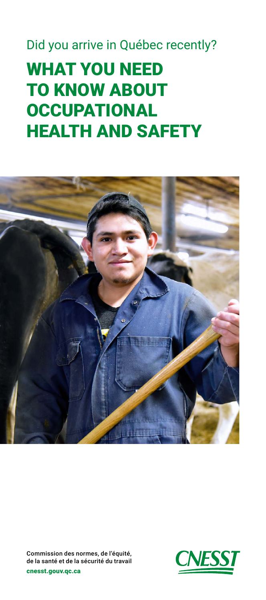#### Did you arrive in Québec recently?

# WHAT YOU NEED TO KNOW ABOUT **OCCUPATIONAL** HEALTH AND SAFETY



[cnesst.gouv.qc.ca](http://cnesst.gouv.qc.ca) Commission des normes, de l'équité, de la santé et de la sécurité du travail

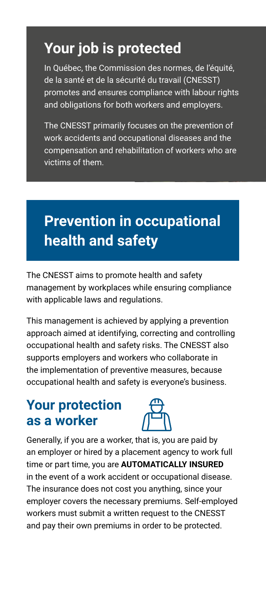# **Your job is protected**

In Québec, the Commission des normes, de l'équité, de la santé et de la sécurité du travail (CNESST) promotes and ensures compliance with labour rights and obligations for both workers and employers.

The CNESST primarily focuses on the prevention of work accidents and occupational diseases and the compensation and rehabilitation of workers who are victims of them.

# **Prevention in occupational health and safety**

The CNESST aims to promote health and safety management by workplaces while ensuring compliance with applicable laws and regulations.

This management is achieved by applying a prevention approach aimed at identifying, correcting and controlling occupational health and safety risks. The CNESST also supports employers and workers who collaborate in the implementation of preventive measures, because occupational health and safety is everyone's business.

#### **Your protection as a worker**



Generally, if you are a worker, that is, you are paid by an employer or hired by a placement agency to work full time or part time, you are **AUTOMATICALLY INSURED** in the event of a work accident or occupational disease. The insurance does not cost you anything, since your employer covers the necessary premiums. Self-employed workers must submit a written request to the CNESST and pay their own premiums in order to be protected.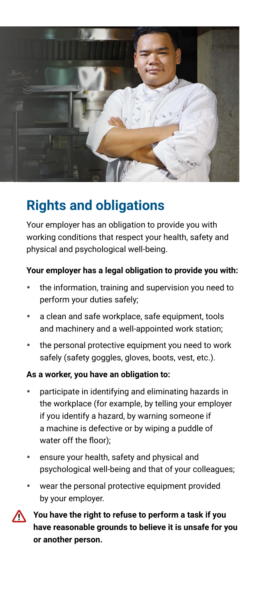

## **Rights and obligations**

Your employer has an obligation to provide you with working conditions that respect your health, safety and physical and psychological well-being.

#### **Your employer has a legal obligation to provide you with:**

- the information, training and supervision you need to perform your duties safely;
- a clean and safe workplace, safe equipment, tools and machinery and a well-appointed work station;
- the personal protective equipment you need to work safely (safety goggles, gloves, boots, vest, etc.).

#### **As a worker, you have an obligation to:**

- participate in identifying and eliminating hazards in the workplace (for example, by telling your employer if you identify a hazard, by warning someone if a machine is defective or by wiping a puddle of water off the floor);
- ensure your health, safety and physical and psychological well-being and that of your colleagues;
- wear the personal protective equipment provided by your employer.



You have the right to refuse to perform a task if you **have reasonable grounds to believe it is unsafe for you or another person.**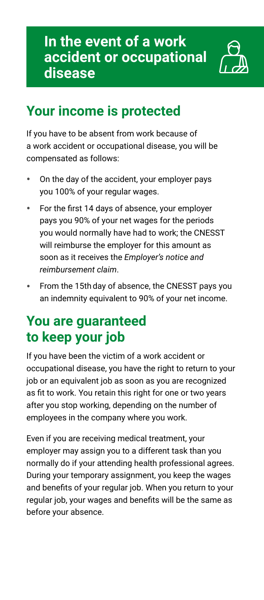

## **Your income is protected**

If you have to be absent from work because of a work accident or occupational disease, you will be compensated as follows:

- On the day of the accident, your employer pays you 100% of your regular wages.
- For the first 14 days of absence, your employer pays you 90% of your net wages for the periods you would normally have had to work; the CNESST will reimburse the employer for this amount as soon as it receives the *Employer's notice and reimbursement claim*.
- From the 15th day of absence, the CNESST pays you an indemnity equivalent to 90% of your net income.

### **You are guaranteed to keep your job**

If you have been the victim of a work accident or occupational disease, you have the right to return to your job or an equivalent job as soon as you are recognized as fit to work. You retain this right for one or two years after you stop working, depending on the number of employees in the company where you work.

Even if you are receiving medical treatment, your employer may assign you to a different task than you normally do if your attending health professional agrees. During your temporary assignment, you keep the wages and benefits of your regular job. When you return to your regular job, your wages and benefits will be the same as before your absence.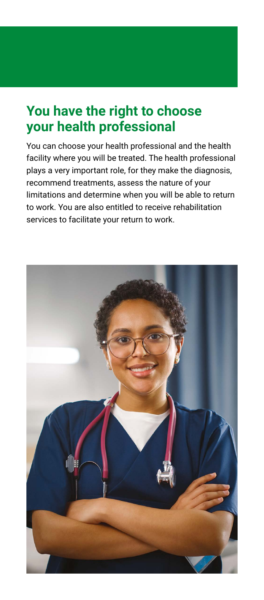### **You have the right to choose your health professional**

You can choose your health professional and the health facility where you will be treated. The health professional plays a very important role, for they make the diagnosis, recommend treatments, assess the nature of your limitations and determine when you will be able to return to work. You are also entitled to receive rehabilitation services to facilitate your return to work.

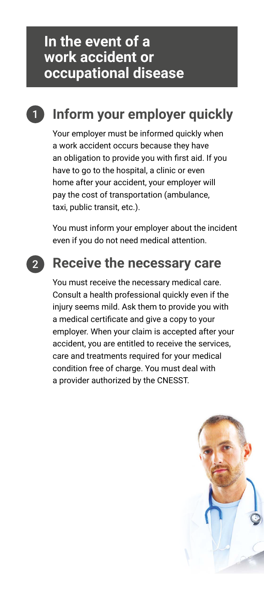## **1** Inform your employer quickly

Your employer must be informed quickly when a work accident occurs because they have an obligation to provide you with first aid. If you have to go to the hospital, a clinic or even home after your accident, your employer will pay the cost of transportation (ambulance, taxi, public transit, etc.).

You must inform your employer about the incident even if you do not need medical attention.

#### **Receive the necessary care**

You must receive the necessary medical care. Consult a health professional quickly even if the injury seems mild. Ask them to provide you with a medical certificate and give a copy to your employer. When your claim is accepted after your accident, you are entitled to receive the services, care and treatments required for your medical condition free of charge. You must deal with a provider authorized by the CNESST.

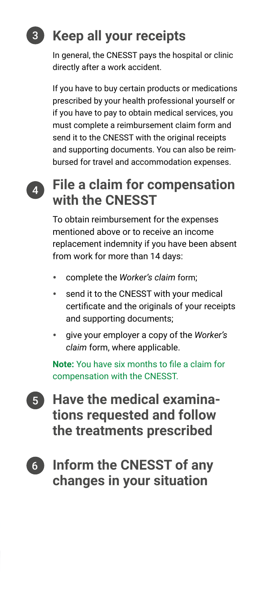# 3 **Keep all your receipts**

In general, the CNESST pays the hospital or clinic directly after a work accident.

If you have to buy certain products or medications prescribed by your health professional yourself or if you have to pay to obtain medical services, you must complete a reimbursement claim form and send it to the CNESST with the original receipts and supporting documents. You can also be reimbursed for travel and accommodation expenses.

### 4 **File a claim for compensation with the CNESST**

To obtain reimbursement for the expenses mentioned above or to receive an income replacement indemnity if you have been absent from work for more than 14 days:

- complete the *Worker's claim* form;
- send it to the CNESST with your medical certificate and the originals of your receipts and supporting documents;
- give your employer a copy of the *Worker's claim* form, where applicable.

**Note:** You have six months to file a claim for compensation with the CNESST.

- 5 **Have the medical examinations requested and follow the treatments prescribed**
- 6 **Inform the CNESST of any changes in your situation**